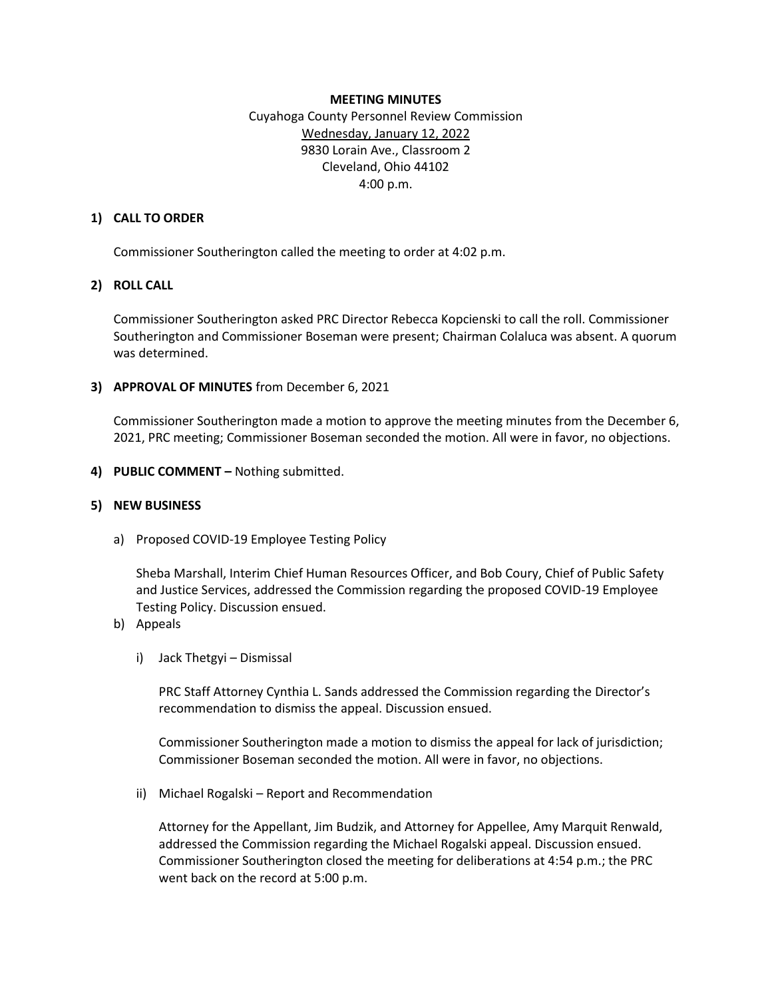### **MEETING MINUTES**

Cuyahoga County Personnel Review Commission Wednesday, January 12, 2022 9830 Lorain Ave., Classroom 2 Cleveland, Ohio 44102 4:00 p.m.

## **1) CALL TO ORDER**

Commissioner Southerington called the meeting to order at 4:02 p.m.

## **2) ROLL CALL**

Commissioner Southerington asked PRC Director Rebecca Kopcienski to call the roll. Commissioner Southerington and Commissioner Boseman were present; Chairman Colaluca was absent. A quorum was determined.

## **3) APPROVAL OF MINUTES** from December 6, 2021

Commissioner Southerington made a motion to approve the meeting minutes from the December 6, 2021, PRC meeting; Commissioner Boseman seconded the motion. All were in favor, no objections.

**4) PUBLIC COMMENT –** Nothing submitted.

### **5) NEW BUSINESS**

a) Proposed COVID-19 Employee Testing Policy

Sheba Marshall, Interim Chief Human Resources Officer, and Bob Coury, Chief of Public Safety and Justice Services, addressed the Commission regarding the proposed COVID-19 Employee Testing Policy. Discussion ensued.

- b) Appeals
	- i) Jack Thetgyi Dismissal

PRC Staff Attorney Cynthia L. Sands addressed the Commission regarding the Director's recommendation to dismiss the appeal. Discussion ensued.

Commissioner Southerington made a motion to dismiss the appeal for lack of jurisdiction; Commissioner Boseman seconded the motion. All were in favor, no objections.

ii) Michael Rogalski – Report and Recommendation

Attorney for the Appellant, Jim Budzik, and Attorney for Appellee, Amy Marquit Renwald, addressed the Commission regarding the Michael Rogalski appeal. Discussion ensued. Commissioner Southerington closed the meeting for deliberations at 4:54 p.m.; the PRC went back on the record at 5:00 p.m.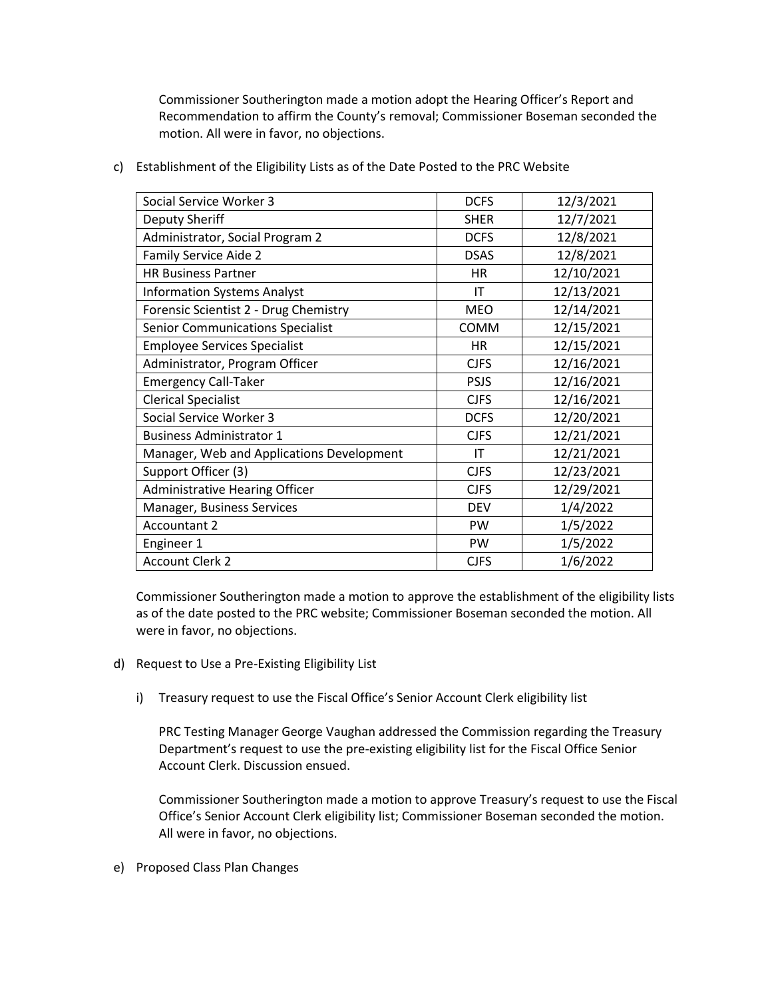Commissioner Southerington made a motion adopt the Hearing Officer's Report and Recommendation to affirm the County's removal; Commissioner Boseman seconded the motion. All were in favor, no objections.

| Social Service Worker 3                   | <b>DCFS</b> | 12/3/2021  |
|-------------------------------------------|-------------|------------|
| Deputy Sheriff                            | <b>SHER</b> | 12/7/2021  |
| Administrator, Social Program 2           | <b>DCFS</b> | 12/8/2021  |
| Family Service Aide 2                     | <b>DSAS</b> | 12/8/2021  |
| <b>HR Business Partner</b>                | <b>HR</b>   | 12/10/2021 |
| <b>Information Systems Analyst</b>        | IT          | 12/13/2021 |
| Forensic Scientist 2 - Drug Chemistry     | <b>MEO</b>  | 12/14/2021 |
| <b>Senior Communications Specialist</b>   | <b>COMM</b> | 12/15/2021 |
| <b>Employee Services Specialist</b>       | <b>HR</b>   | 12/15/2021 |
| Administrator, Program Officer            | <b>CJFS</b> | 12/16/2021 |
| <b>Emergency Call-Taker</b>               | <b>PSJS</b> | 12/16/2021 |
| <b>Clerical Specialist</b>                | <b>CJFS</b> | 12/16/2021 |
| Social Service Worker 3                   | <b>DCFS</b> | 12/20/2021 |
| <b>Business Administrator 1</b>           | <b>CJFS</b> | 12/21/2021 |
| Manager, Web and Applications Development | IT          | 12/21/2021 |
| Support Officer (3)                       | <b>CJFS</b> | 12/23/2021 |
| <b>Administrative Hearing Officer</b>     | <b>CJFS</b> | 12/29/2021 |
| Manager, Business Services                | <b>DEV</b>  | 1/4/2022   |
| <b>Accountant 2</b>                       | PW          | 1/5/2022   |
| Engineer 1                                | PW          | 1/5/2022   |
| <b>Account Clerk 2</b>                    | <b>CJFS</b> | 1/6/2022   |

c) Establishment of the Eligibility Lists as of the Date Posted to the PRC Website

Commissioner Southerington made a motion to approve the establishment of the eligibility lists as of the date posted to the PRC website; Commissioner Boseman seconded the motion. All were in favor, no objections.

- d) Request to Use a Pre-Existing Eligibility List
	- i) Treasury request to use the Fiscal Office's Senior Account Clerk eligibility list

PRC Testing Manager George Vaughan addressed the Commission regarding the Treasury Department's request to use the pre-existing eligibility list for the Fiscal Office Senior Account Clerk. Discussion ensued.

Commissioner Southerington made a motion to approve Treasury's request to use the Fiscal Office's Senior Account Clerk eligibility list; Commissioner Boseman seconded the motion. All were in favor, no objections.

e) Proposed Class Plan Changes